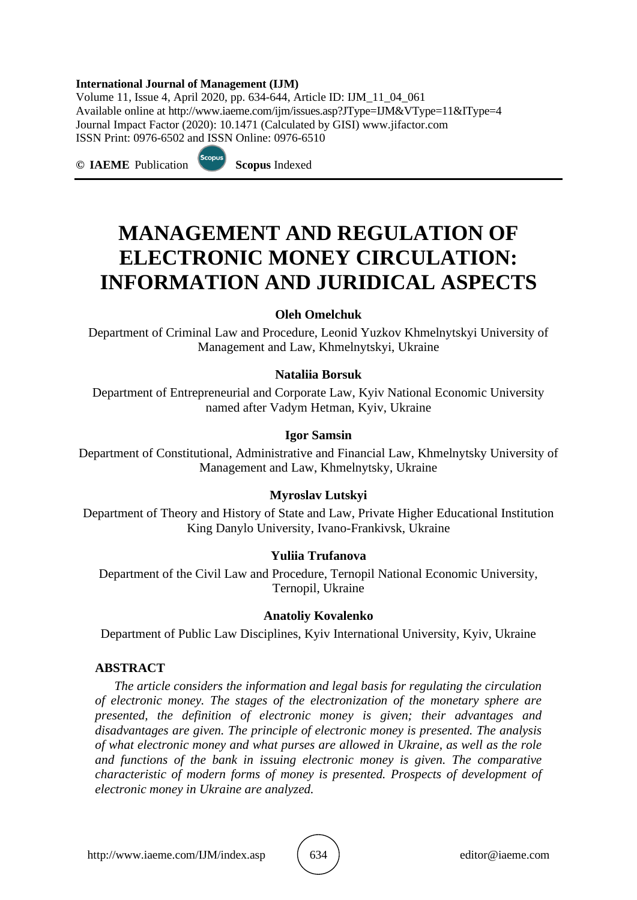#### **International Journal of Management (IJM)**

Scopus

Volume 11, Issue 4, April 2020, pp. 634-644, Article ID: IJM\_11\_04\_061 Available online at http://www.iaeme.com/ijm/issues.asp?JType=IJM&VType=11&IType=4 Journal Impact Factor (2020): 10.1471 (Calculated by GISI) www.jifactor.com ISSN Print: 0976-6502 and ISSN Online: 0976-6510

**© IAEME** Publication **Scopus** Indexed

# **MANAGEMENT AND REGULATION OF ELECTRONIC MONEY CIRCULATION: INFORMATION AND JURIDICAL ASPECTS**

#### **Oleh Omelchuk**

Department of Criminal Law and Procedure, Leonid Yuzkov Khmelnytskyi University of Management and Law, Khmelnytskyi, Ukraine

#### **Nataliia Borsuk**

Department of Entrepreneurial and Corporate Law, Kyiv National Economic University named after Vadym Hetman, Kyiv, Ukraine

## **Igor Samsin**

Department of Constitutional, Administrative and Financial Law, Khmelnytsky University of Management and Law, Khmelnytsky, Ukraine

## **Myroslav Lutskyi**

Department of Theory and History of State and Law, Private Higher Educational Institution King Danylo University, Ivano-Frankivsk, Ukraine

## **Yuliia Trufanova**

Department of the Civil Law and Procedure, Ternopil National Economic University, Ternopil, Ukraine

#### **Anatoliy Kovalenko**

Department of Public Law Disciplines, Kyiv International University, Kyiv, Ukraine

#### **ABSTRACT**

*The article considers the information and legal basis for regulating the circulation of electronic money. The stages of the electronization of the monetary sphere are presented, the definition of electronic money is given; their advantages and disadvantages are given. The principle of electronic money is presented. The analysis of what electronic money and what purses are allowed in Ukraine, as well as the role and functions of the bank in issuing electronic money is given. The comparative characteristic of modern forms of money is presented. Prospects of development of electronic money in Ukraine are analyzed.*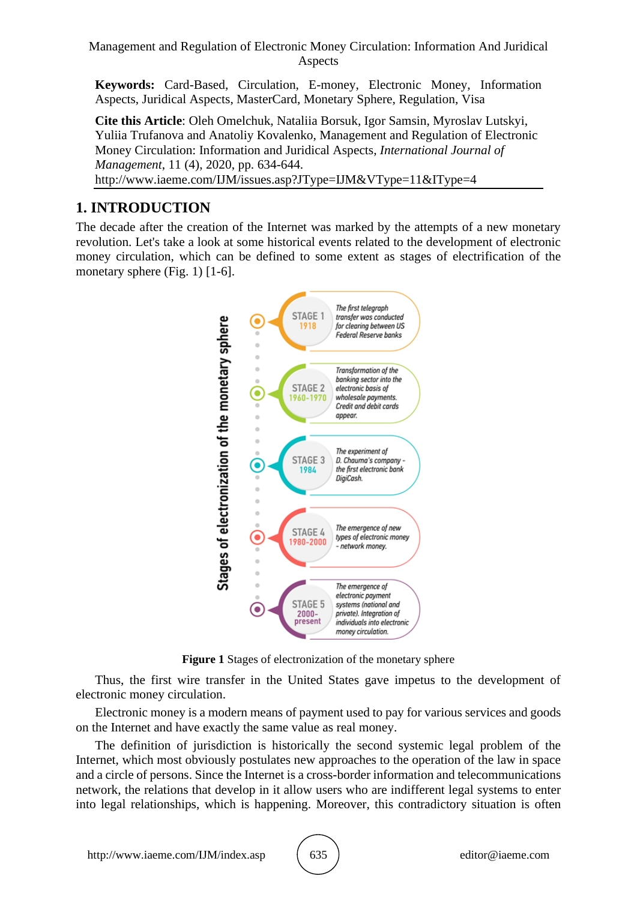Management and Regulation of Electronic Money Circulation: Information And Juridical Aspects

**Keywords:** Card-Based, Circulation, E-money, Electronic Money, Information Aspects, Juridical Aspects, MasterCard, Monetary Sphere, Regulation, Visa

**Cite this Article**: Oleh Omelchuk, Nataliia Borsuk, Igor Samsin, Myroslav Lutskyi, Yuliia Trufanova and Anatoliy Kovalenko, Management and Regulation of Electronic Money Circulation: Information and Juridical Aspects, *International Journal of Management*, 11 (4), 2020, pp. 634-644. http://www.iaeme.com/IJM/issues.asp?JType=IJM&VType=11&IType=4

# **1. INTRODUCTION**

The decade after the creation of the Internet was marked by the attempts of a new monetary revolution. Let's take a look at some historical events related to the development of electronic money circulation, which can be defined to some extent as stages of electrification of the monetary sphere (Fig. 1) [1-6].



**Figure 1** Stages of electronization of the monetary sphere

Thus, the first wire transfer in the United States gave impetus to the development of electronic money circulation.

Electronic money is a modern means of payment used to pay for various services and goods on the Internet and have exactly the same value as real money.

The definition of jurisdiction is historically the second systemic legal problem of the Internet, which most obviously postulates new approaches to the operation of the law in space and a circle of persons. Since the Internet is a cross-border information and telecommunications network, the relations that develop in it allow users who are indifferent legal systems to enter into legal relationships, which is happening. Moreover, this contradictory situation is often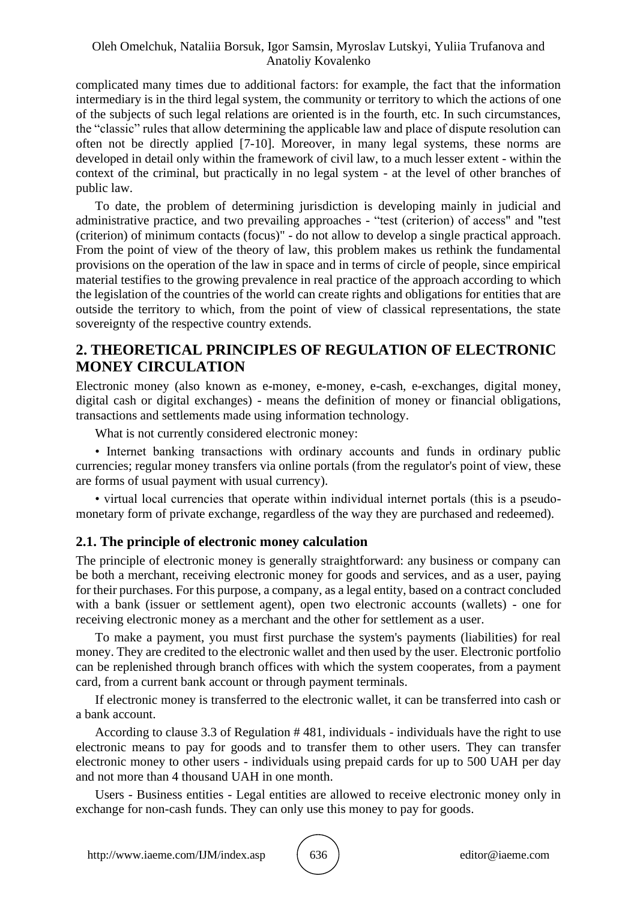complicated many times due to additional factors: for example, the fact that the information intermediary is in the third legal system, the community or territory to which the actions of one of the subjects of such legal relations are oriented is in the fourth, etc. In such circumstances, the "classic" rules that allow determining the applicable law and place of dispute resolution can often not be directly applied [7-10]. Moreover, in many legal systems, these norms are developed in detail only within the framework of civil law, to a much lesser extent - within the context of the criminal, but practically in no legal system - at the level of other branches of public law.

To date, the problem of determining jurisdiction is developing mainly in judicial and administrative practice, and two prevailing approaches - "test (criterion) of access" and "test (criterion) of minimum contacts (focus)" - do not allow to develop a single practical approach. From the point of view of the theory of law, this problem makes us rethink the fundamental provisions on the operation of the law in space and in terms of circle of people, since empirical material testifies to the growing prevalence in real practice of the approach according to which the legislation of the countries of the world can create rights and obligations for entities that are outside the territory to which, from the point of view of classical representations, the state sovereignty of the respective country extends.

# **2. THEORETICAL PRINCIPLES OF REGULATION OF ELECTRONIC MONEY CIRCULATION**

Electronic money (also known as e-money, e-money, e-cash, e-exchanges, digital money, digital cash or digital exchanges) - means the definition of money or financial obligations, transactions and settlements made using information technology.

What is not currently considered electronic money:

• Internet banking transactions with ordinary accounts and funds in ordinary public currencies; regular money transfers via online portals (from the regulator's point of view, these are forms of usual payment with usual currency).

• virtual local currencies that operate within individual internet portals (this is a pseudomonetary form of private exchange, regardless of the way they are purchased and redeemed).

## **2.1. The principle of electronic money calculation**

The principle of electronic money is generally straightforward: any business or company can be both a merchant, receiving electronic money for goods and services, and as a user, paying for their purchases. For this purpose, a company, as a legal entity, based on a contract concluded with a bank (issuer or settlement agent), open two electronic accounts (wallets) - one for receiving electronic money as a merchant and the other for settlement as a user.

To make a payment, you must first purchase the system's payments (liabilities) for real money. They are credited to the electronic wallet and then used by the user. Electronic portfolio can be replenished through branch offices with which the system cooperates, from a payment card, from a current bank account or through payment terminals.

If electronic money is transferred to the electronic wallet, it can be transferred into cash or a bank account.

According to clause 3.3 of Regulation # 481, individuals - individuals have the right to use electronic means to pay for goods and to transfer them to other users. They can transfer electronic money to other users - individuals using prepaid cards for up to 500 UAH per day and not more than 4 thousand UAH in one month.

Users - Business entities - Legal entities are allowed to receive electronic money only in exchange for non-cash funds. They can only use this money to pay for goods.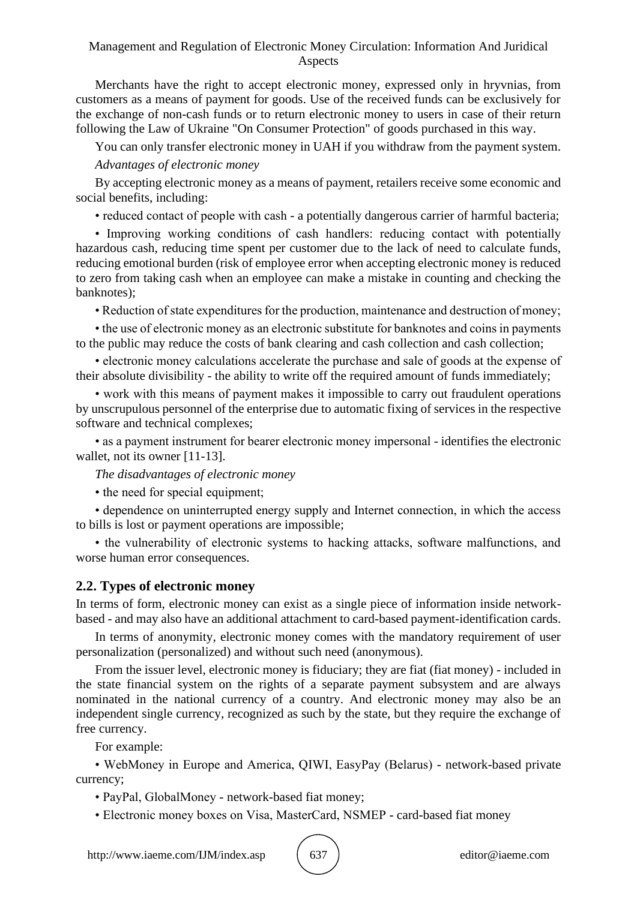Merchants have the right to accept electronic money, expressed only in hryvnias, from customers as a means of payment for goods. Use of the received funds can be exclusively for the exchange of non-cash funds or to return electronic money to users in case of their return following the Law of Ukraine "On Consumer Protection" of goods purchased in this way.

You can only transfer electronic money in UAH if you withdraw from the payment system. *Advantages of electronic money*

By accepting electronic money as a means of payment, retailers receive some economic and social benefits, including:

• reduced contact of people with cash - a potentially dangerous carrier of harmful bacteria;

• Improving working conditions of cash handlers: reducing contact with potentially hazardous cash, reducing time spent per customer due to the lack of need to calculate funds, reducing emotional burden (risk of employee error when accepting electronic money is reduced to zero from taking cash when an employee can make a mistake in counting and checking the banknotes);

• Reduction of state expenditures for the production, maintenance and destruction of money;

• the use of electronic money as an electronic substitute for banknotes and coins in payments to the public may reduce the costs of bank clearing and cash collection and cash collection;

• electronic money calculations accelerate the purchase and sale of goods at the expense of their absolute divisibility - the ability to write off the required amount of funds immediately;

• work with this means of payment makes it impossible to carry out fraudulent operations by unscrupulous personnel of the enterprise due to automatic fixing of services in the respective software and technical complexes;

• as a payment instrument for bearer electronic money impersonal - identifies the electronic wallet, not its owner [11-13].

*The disadvantages of electronic money*

• the need for special equipment;

• dependence on uninterrupted energy supply and Internet connection, in which the access to bills is lost or payment operations are impossible;

• the vulnerability of electronic systems to hacking attacks, software malfunctions, and worse human error consequences.

## **2.2. Types of electronic money**

In terms of form, electronic money can exist as a single piece of information inside networkbased - and may also have an additional attachment to card-based payment-identification cards.

In terms of anonymity, electronic money comes with the mandatory requirement of user personalization (personalized) and without such need (anonymous).

From the issuer level, electronic money is fiduciary; they are fiat (fiat money) - included in the state financial system on the rights of a separate payment subsystem and are always nominated in the national currency of a country. And electronic money may also be an independent single currency, recognized as such by the state, but they require the exchange of free currency.

For example:

• WebMoney in Europe and America, QIWI, EasyPay (Belarus) - network-based private currency;

• PayPal, GlobalMoney - network-based fiat money;

• Electronic money boxes on Visa, MasterCard, NSMEP - card-based fiat money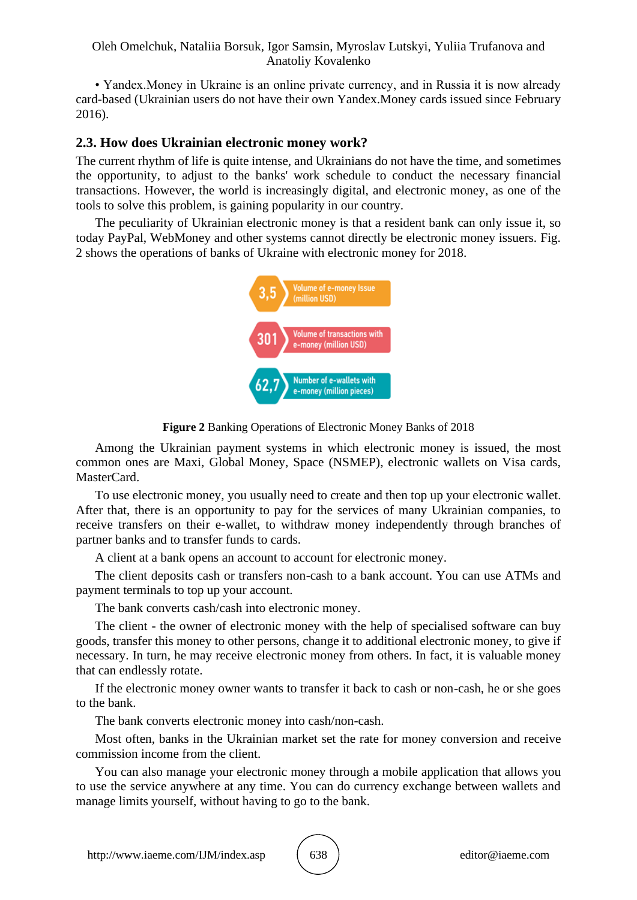• Yandex.Money in Ukraine is an online private currency, and in Russia it is now already card-based (Ukrainian users do not have their own Yandex.Money cards issued since February 2016).

## **2.3. How does Ukrainian electronic money work?**

The current rhythm of life is quite intense, and Ukrainians do not have the time, and sometimes the opportunity, to adjust to the banks' work schedule to conduct the necessary financial transactions. However, the world is increasingly digital, and electronic money, as one of the tools to solve this problem, is gaining popularity in our country.

The peculiarity of Ukrainian electronic money is that a resident bank can only issue it, so today PayPal, WebMoney and other systems cannot directly be electronic money issuers. Fig. 2 shows the operations of banks of Ukraine with electronic money for 2018.



**Figure 2** Banking Operations of Electronic Money Banks of 2018

Among the Ukrainian payment systems in which electronic money is issued, the most common ones are Maxi, Global Money, Space (NSMEP), electronic wallets on Visa cards, MasterCard.

To use electronic money, you usually need to create and then top up your electronic wallet. After that, there is an opportunity to pay for the services of many Ukrainian companies, to receive transfers on their e-wallet, to withdraw money independently through branches of partner banks and to transfer funds to cards.

A client at a bank opens an account to account for electronic money.

The client deposits cash or transfers non-cash to a bank account. You can use ATMs and payment terminals to top up your account.

The bank converts cash/cash into electronic money.

The client - the owner of electronic money with the help of specialised software can buy goods, transfer this money to other persons, change it to additional electronic money, to give if necessary. In turn, he may receive electronic money from others. In fact, it is valuable money that can endlessly rotate.

If the electronic money owner wants to transfer it back to cash or non-cash, he or she goes to the bank.

The bank converts electronic money into cash/non-cash.

Most often, banks in the Ukrainian market set the rate for money conversion and receive commission income from the client.

You can also manage your electronic money through a mobile application that allows you to use the service anywhere at any time. You can do currency exchange between wallets and manage limits yourself, without having to go to the bank.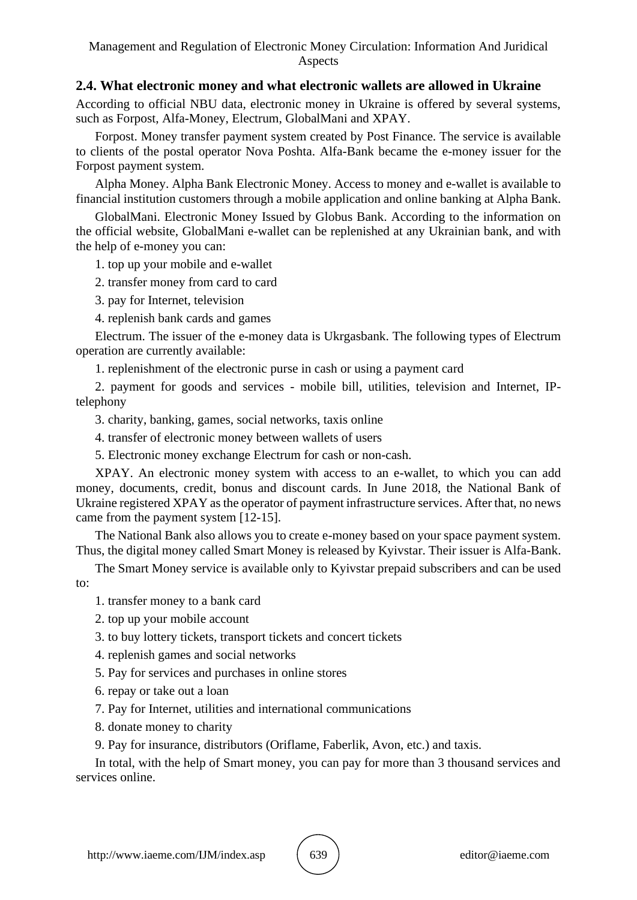## **2.4. What electronic money and what electronic wallets are allowed in Ukraine**

According to official NBU data, electronic money in Ukraine is offered by several systems, such as Forpost, Alfa-Money, Electrum, GlobalMani and XPAY.

Forpost. Money transfer payment system created by Post Finance. The service is available to clients of the postal operator Nova Poshta. Alfa-Bank became the e-money issuer for the Forpost payment system.

Alpha Money. Alpha Bank Electronic Money. Access to money and e-wallet is available to financial institution customers through a mobile application and online banking at Alpha Bank.

GlobalMani. Electronic Money Issued by Globus Bank. According to the information on the official website, GlobalMani e-wallet can be replenished at any Ukrainian bank, and with the help of e-money you can:

1. top up your mobile and e-wallet

- 2. transfer money from card to card
- 3. pay for Internet, television
- 4. replenish bank cards and games

Electrum. The issuer of the e-money data is Ukrgasbank. The following types of Electrum operation are currently available:

1. replenishment of the electronic purse in cash or using a payment card

2. payment for goods and services - mobile bill, utilities, television and Internet, IPtelephony

3. charity, banking, games, social networks, taxis online

4. transfer of electronic money between wallets of users

5. Electronic money exchange Electrum for cash or non-cash.

XPAY. An electronic money system with access to an e-wallet, to which you can add money, documents, credit, bonus and discount cards. In June 2018, the National Bank of Ukraine registered XPAY as the operator of payment infrastructure services. After that, no news came from the payment system [12-15].

The National Bank also allows you to create e-money based on your space payment system. Thus, the digital money called Smart Money is released by Kyivstar. Their issuer is Alfa-Bank.

The Smart Money service is available only to Kyivstar prepaid subscribers and can be used to:

- 1. transfer money to a bank card
- 2. top up your mobile account
- 3. to buy lottery tickets, transport tickets and concert tickets
- 4. replenish games and social networks
- 5. Pay for services and purchases in online stores
- 6. repay or take out a loan
- 7. Pay for Internet, utilities and international communications
- 8. donate money to charity
- 9. Pay for insurance, distributors (Oriflame, Faberlik, Avon, etc.) and taxis.

In total, with the help of Smart money, you can pay for more than 3 thousand services and services online.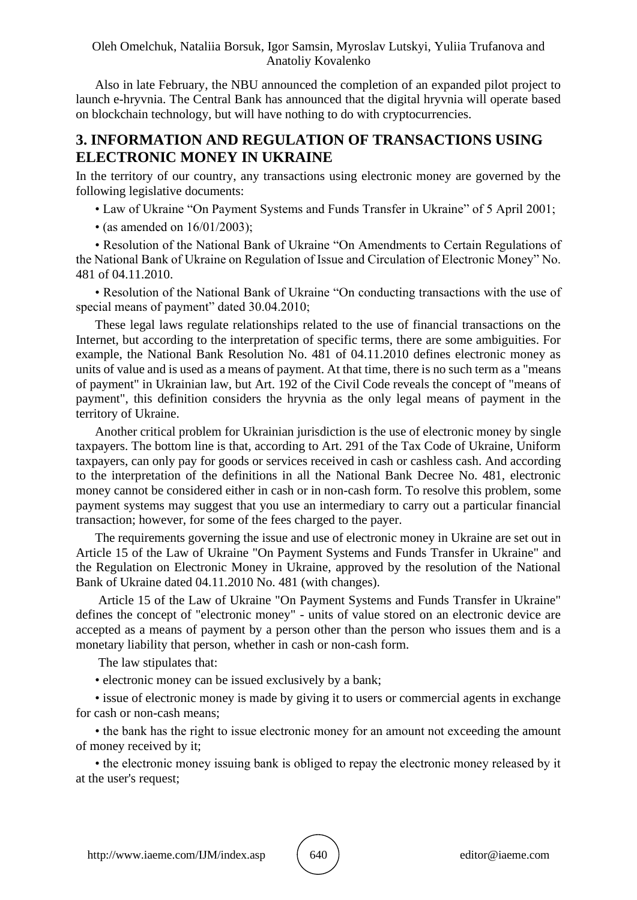Also in late February, the NBU announced the completion of an expanded pilot project to launch e-hryvnia. The Central Bank has announced that the digital hryvnia will operate based on blockchain technology, but will have nothing to do with cryptocurrencies.

# **3. INFORMATION AND REGULATION OF TRANSACTIONS USING ELECTRONIC MONEY IN UKRAINE**

In the territory of our country, any transactions using electronic money are governed by the following legislative documents:

- Law of Ukraine "On Payment Systems and Funds Transfer in Ukraine" of 5 April 2001;
- (as amended on 16/01/2003);

• Resolution of the National Bank of Ukraine "On Amendments to Certain Regulations of the National Bank of Ukraine on Regulation of Issue and Circulation of Electronic Money" No. 481 of 04.11.2010.

• Resolution of the National Bank of Ukraine "On conducting transactions with the use of special means of payment" dated 30.04.2010;

These legal laws regulate relationships related to the use of financial transactions on the Internet, but according to the interpretation of specific terms, there are some ambiguities. For example, the National Bank Resolution No. 481 of 04.11.2010 defines electronic money as units of value and is used as a means of payment. At that time, there is no such term as a "means of payment" in Ukrainian law, but Art. 192 of the Civil Code reveals the concept of "means of payment", this definition considers the hryvnia as the only legal means of payment in the territory of Ukraine.

Another critical problem for Ukrainian jurisdiction is the use of electronic money by single taxpayers. The bottom line is that, according to Art. 291 of the Tax Code of Ukraine, Uniform taxpayers, can only pay for goods or services received in cash or cashless cash. And according to the interpretation of the definitions in all the National Bank Decree No. 481, electronic money cannot be considered either in cash or in non-cash form. To resolve this problem, some payment systems may suggest that you use an intermediary to carry out a particular financial transaction; however, for some of the fees charged to the payer.

The requirements governing the issue and use of electronic money in Ukraine are set out in Article 15 of the Law of Ukraine "On Payment Systems and Funds Transfer in Ukraine" and the Regulation on Electronic Money in Ukraine, approved by the resolution of the National Bank of Ukraine dated 04.11.2010 No. 481 (with changes).

Article 15 of the Law of Ukraine "On Payment Systems and Funds Transfer in Ukraine" defines the concept of "electronic money" - units of value stored on an electronic device are accepted as a means of payment by a person other than the person who issues them and is a monetary liability that person, whether in cash or non-cash form.

The law stipulates that:

• electronic money can be issued exclusively by a bank;

• issue of electronic money is made by giving it to users or commercial agents in exchange for cash or non-cash means;

• the bank has the right to issue electronic money for an amount not exceeding the amount of money received by it;

• the electronic money issuing bank is obliged to repay the electronic money released by it at the user's request;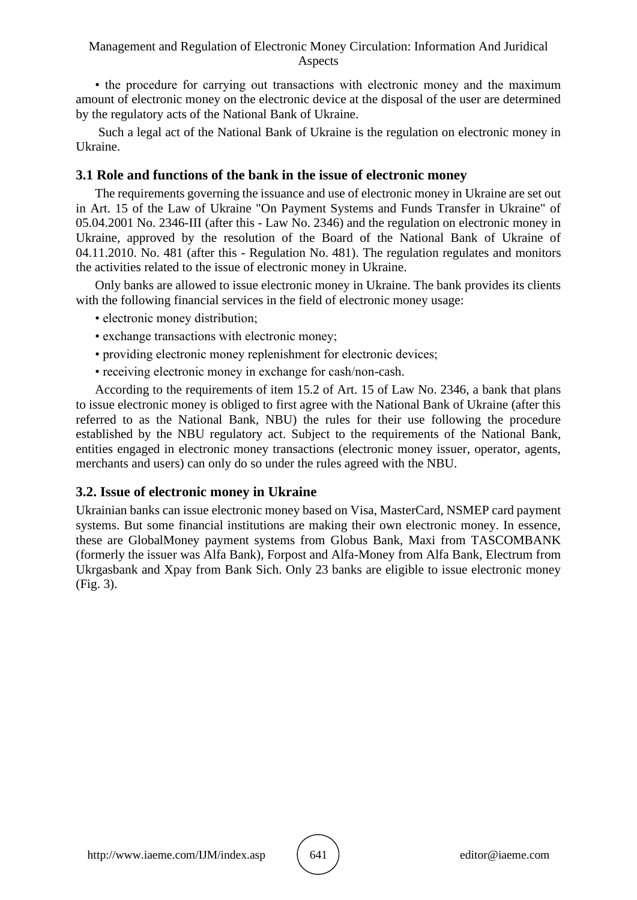#### Management and Regulation of Electronic Money Circulation: Information And Juridical Aspects

• the procedure for carrying out transactions with electronic money and the maximum amount of electronic money on the electronic device at the disposal of the user are determined by the regulatory acts of the National Bank of Ukraine.

Such a legal act of the National Bank of Ukraine is the regulation on electronic money in Ukraine.

## **3.1 Role and functions of the bank in the issue of electronic money**

The requirements governing the issuance and use of electronic money in Ukraine are set out in Art. 15 of the Law of Ukraine "On Payment Systems and Funds Transfer in Ukraine" of 05.04.2001 No. 2346-III (after this - Law No. 2346) and the regulation on electronic money in Ukraine, approved by the resolution of the Board of the National Bank of Ukraine of 04.11.2010. No. 481 (after this - Regulation No. 481). The regulation regulates and monitors the activities related to the issue of electronic money in Ukraine.

Only banks are allowed to issue electronic money in Ukraine. The bank provides its clients with the following financial services in the field of electronic money usage:

- electronic money distribution;
- exchange transactions with electronic money;
- providing electronic money replenishment for electronic devices;
- receiving electronic money in exchange for cash/non-cash.

According to the requirements of item 15.2 of Art. 15 of Law No. 2346, a bank that plans to issue electronic money is obliged to first agree with the National Bank of Ukraine (after this referred to as the National Bank, NBU) the rules for their use following the procedure established by the NBU regulatory act. Subject to the requirements of the National Bank, entities engaged in electronic money transactions (electronic money issuer, operator, agents, merchants and users) can only do so under the rules agreed with the NBU.

## **3.2. Issue of electronic money in Ukraine**

Ukrainian banks can issue electronic money based on Visa, MasterCard, NSMEP card payment systems. But some financial institutions are making their own electronic money. In essence, these are GlobalMoney payment systems from Globus Bank, Maxi from TASCOMBANK (formerly the issuer was Alfa Bank), Forpost and Alfa-Money from Alfa Bank, Electrum from Ukrgasbank and Xpay from Bank Sich. Only 23 banks are eligible to issue electronic money (Fig. 3).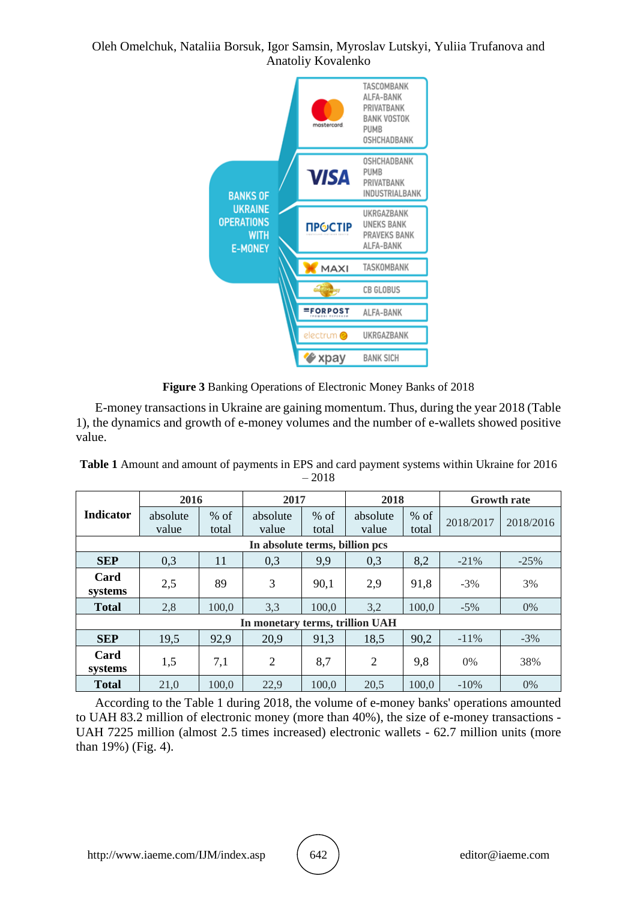

**Figure 3** Banking Operations of Electronic Money Banks of 2018

E-money transactions in Ukraine are gaining momentum. Thus, during the year 2018 (Table 1), the dynamics and growth of e-money volumes and the number of e-wallets showed positive value.

**Table 1** Amount and amount of payments in EPS and card payment systems within Ukraine for 2016 – 2018

|                                 | 2016              |        | 2017              |        | 2018              |        | <b>Growth rate</b> |           |
|---------------------------------|-------------------|--------|-------------------|--------|-------------------|--------|--------------------|-----------|
| <b>Indicator</b>                | absolute<br>value | $%$ of | absolute<br>value | $%$ of | absolute<br>value | $%$ of | 2018/2017          | 2018/2016 |
|                                 |                   | total  |                   | total  |                   | total  |                    |           |
| In absolute terms, billion pcs  |                   |        |                   |        |                   |        |                    |           |
| <b>SEP</b>                      | 0,3               | 11     | 0,3               | 9,9    | 0,3               | 8,2    | $-21%$             | $-25%$    |
| Card<br>systems                 | 2,5               | 89     | 3                 | 90,1   | 2,9               | 91,8   | $-3\%$             | 3%        |
| <b>Total</b>                    | 2,8               | 100,0  | 3,3               | 100,0  | 3,2               | 100,0  | $-5\%$             | 0%        |
| In monetary terms, trillion UAH |                   |        |                   |        |                   |        |                    |           |
| <b>SEP</b>                      | 19,5              | 92,9   | 20,9              | 91,3   | 18,5              | 90,2   | $-11\%$            | $-3%$     |
| Card<br>systems                 | 1,5               | 7,1    | $\overline{2}$    | 8,7    | $\overline{2}$    | 9,8    | 0%                 | 38%       |
| <b>Total</b>                    | 21,0              | 100,0  | 22,9              | 100,0  | 20,5              | 100,0  | $-10%$             | $0\%$     |

According to the Table 1 during 2018, the volume of e-money banks' operations amounted to UAH 83.2 million of electronic money (more than 40%), the size of e-money transactions - UAH 7225 million (almost 2.5 times increased) electronic wallets - 62.7 million units (more than 19%) (Fig. 4).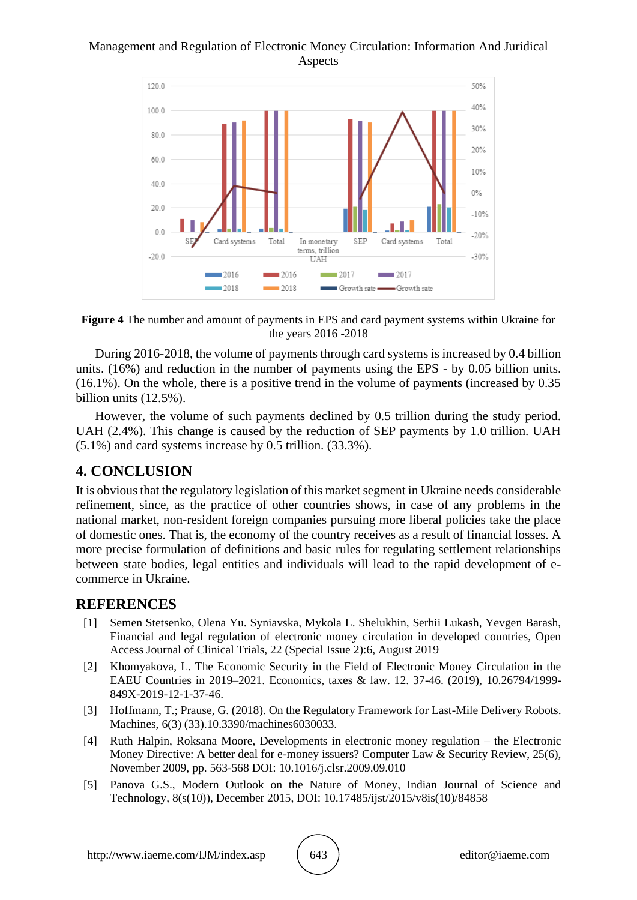#### Management and Regulation of Electronic Money Circulation: Information And Juridical Aspects





During 2016-2018, the volume of payments through card systems is increased by 0.4 billion units. (16%) and reduction in the number of payments using the EPS - by 0.05 billion units. (16.1%). On the whole, there is a positive trend in the volume of payments (increased by 0.35 billion units (12.5%).

However, the volume of such payments declined by 0.5 trillion during the study period. UAH (2.4%). This change is caused by the reduction of SEP payments by 1.0 trillion. UAH (5.1%) and card systems increase by 0.5 trillion. (33.3%).

# **4. CONCLUSION**

It is obvious that the regulatory legislation of this market segment in Ukraine needs considerable refinement, since, as the practice of other countries shows, in case of any problems in the national market, non-resident foreign companies pursuing more liberal policies take the place of domestic ones. That is, the economy of the country receives as a result of financial losses. A more precise formulation of definitions and basic rules for regulating settlement relationships between state bodies, legal entities and individuals will lead to the rapid development of ecommerce in Ukraine.

# **REFERENCES**

- [1] Semen Stetsenko, Olena Yu. Syniavska, Mykola L. Shelukhin, Serhii Lukash, Yevgen Barash, Financial and legal regulation of electronic money circulation in developed countries, Open Access Journal of Clinical Trials, 22 (Special Issue 2):6, August 2019
- [2] Khomyakova, L. The Economic Security in the Field of Electronic Money Circulation in the EAEU Countries in 2019–2021. Economics, taxes & law. 12. 37-46. (2019), 10.26794/1999- 849X-2019-12-1-37-46.
- [3] Hoffmann, T.; Prause, G. (2018). On the Regulatory Framework for Last-Mile Delivery Robots. Machines, 6(3) (33).10.3390/machines6030033.
- [4] Ruth Halpin, Roksana Moore, Developments in electronic money regulation the Electronic Money Directive: A better deal for e-money issuers? Computer Law & Security Review, 25(6), November 2009, pp. 563-568 DOI: 10.1016/j.clsr.2009.09.010
- [5] Panova G.S., Modern Outlook on the Nature of Money, Indian Journal of Science and Technology, 8(s(10)), December 2015, DOI: 10.17485/ijst/2015/v8is(10)/84858